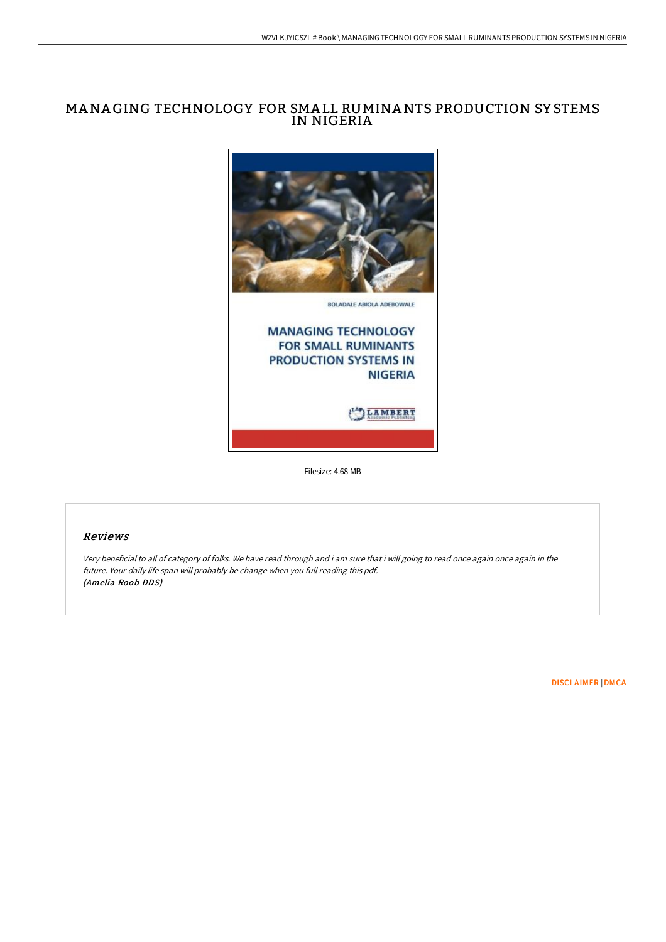# MANA GING TECHNOLOGY FOR SMA LL RUMINANTS PRODUCTION SY STEMS IN NIGERIA



Filesize: 4.68 MB

## Reviews

Very beneficial to all of category of folks. We have read through and i am sure that i will going to read once again once again in the future. Your daily life span will probably be change when you full reading this pdf. (Amelia Roob DDS)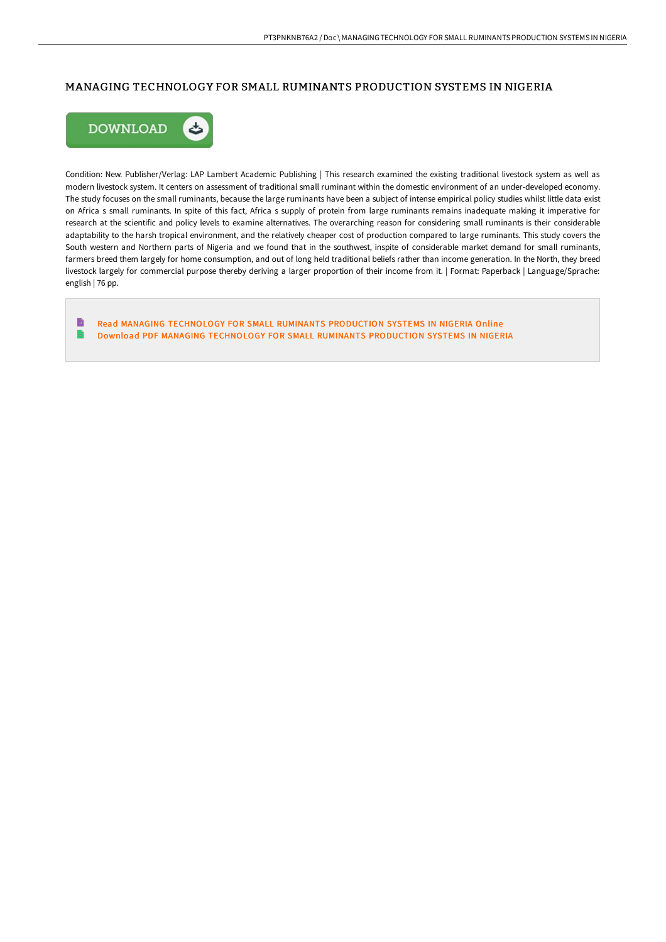### MANAGING TECHNOLOGY FOR SMALL RUMINANTS PRODUCTION SYSTEMS IN NIGERIA



Condition: New. Publisher/Verlag: LAP Lambert Academic Publishing | This research examined the existing traditional livestock system as well as modern livestock system. It centers on assessment of traditional small ruminant within the domestic environment of an under-developed economy. The study focuses on the small ruminants, because the large ruminants have been a subject of intense empirical policy studies whilst little data exist on Africa s small ruminants. In spite of this fact, Africa s supply of protein from large ruminants remains inadequate making it imperative for research at the scientific and policy levels to examine alternatives. The overarching reason for considering small ruminants is their considerable adaptability to the harsh tropical environment, and the relatively cheaper cost of production compared to large ruminants. This study covers the South western and Northern parts of Nigeria and we found that in the southwest, inspite of considerable market demand for small ruminants, farmers breed them largely for home consumption, and out of long held traditional beliefs rather than income generation. In the North, they breed livestock largely for commercial purpose thereby deriving a larger proportion of their income from it. | Format: Paperback | Language/Sprache: english | 76 pp.

B Read MANAGING [TECHNOLOGY](http://albedo.media/managing-technology-for-small-ruminants-producti.html) FOR SMALL RUMINANTS PRODUCTION SYSTEMS IN NIGERIA Online  $\mathbf{r}$ Download PDF MANAGING [TECHNOLOGY](http://albedo.media/managing-technology-for-small-ruminants-producti.html) FOR SMALL RUMINANTS PRODUCTION SYSTEMS IN NIGERIA